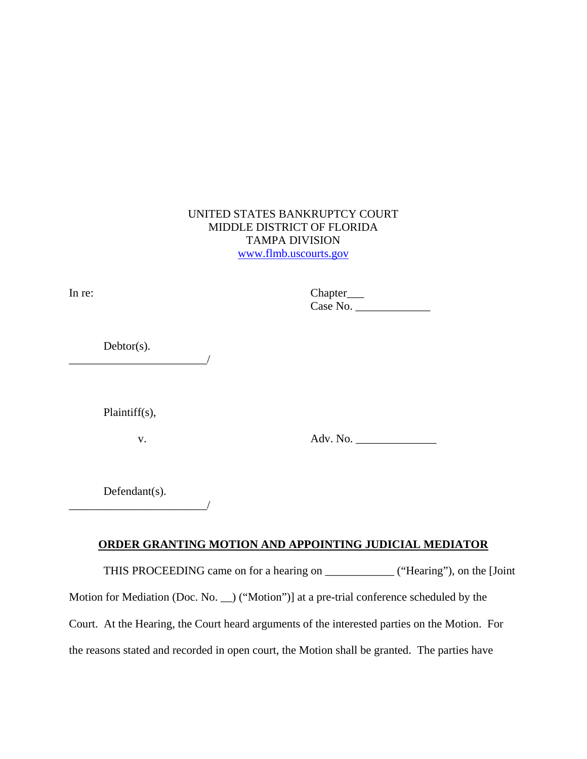## UNITED STATES BANKRUPTCY COURT MIDDLE DISTRICT OF FLORIDA TAMPA DIVISION www.flmb.uscourts.gov

| In re:           | Chapter___      |
|------------------|-----------------|
| $Debtor(s)$ .    |                 |
|                  |                 |
| $Plaintiff(s)$ , |                 |
| V.               | Adv. No. $\_\_$ |

Defendant(s). \_\_\_\_\_\_\_\_\_\_\_\_\_\_\_\_\_\_\_\_\_\_\_\_/

## **ORDER GRANTING MOTION AND APPOINTING JUDICIAL MEDIATOR**

THIS PROCEEDING came on for a hearing on \_\_\_\_\_\_\_\_\_\_\_\_ ("Hearing"), on the [Joint

Motion for Mediation (Doc. No. \_\_) ("Motion")] at a pre-trial conference scheduled by the

Court. At the Hearing, the Court heard arguments of the interested parties on the Motion. For

the reasons stated and recorded in open court, the Motion shall be granted. The parties have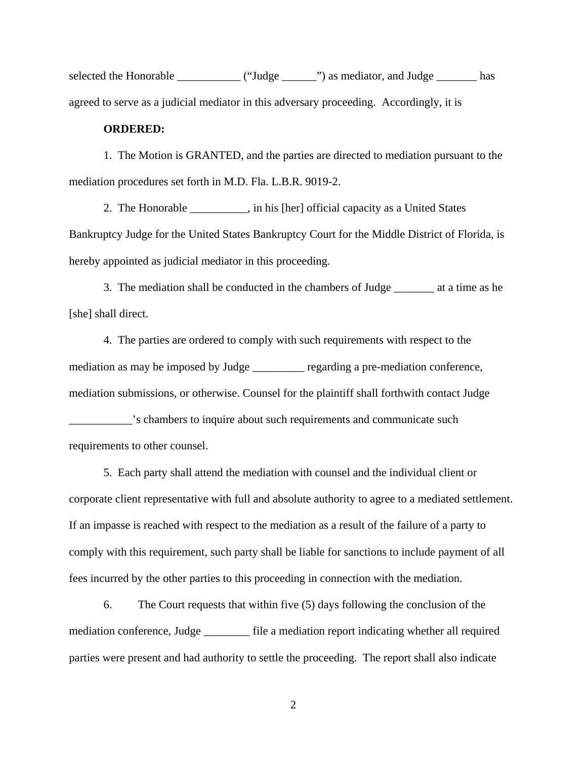selected the Honorable \_\_\_\_\_\_\_\_\_\_\_\_\_ ("Judge \_\_\_\_\_\_") as mediator, and Judge \_\_\_\_\_\_\_\_ has agreed to serve as a judicial mediator in this adversary proceeding. Accordingly, it is

## **ORDERED:**

 1. The Motion is GRANTED, and the parties are directed to mediation pursuant to the mediation procedures set forth in M.D. Fla. L.B.R. 9019-2.

2. The Honorable \_\_\_\_\_\_\_\_\_\_, in his [her] official capacity as a United States Bankruptcy Judge for the United States Bankruptcy Court for the Middle District of Florida, is hereby appointed as judicial mediator in this proceeding.

 3. The mediation shall be conducted in the chambers of Judge \_\_\_\_\_\_\_ at a time as he [she] shall direct.

 4. The parties are ordered to comply with such requirements with respect to the mediation as may be imposed by Judge \_\_\_\_\_\_\_\_\_ regarding a pre-mediation conference, mediation submissions, or otherwise. Counsel for the plaintiff shall forthwith contact Judge

\_\_\_\_\_\_\_\_\_\_\_'s chambers to inquire about such requirements and communicate such requirements to other counsel.

 5. Each party shall attend the mediation with counsel and the individual client or corporate client representative with full and absolute authority to agree to a mediated settlement. If an impasse is reached with respect to the mediation as a result of the failure of a party to comply with this requirement, such party shall be liable for sanctions to include payment of all fees incurred by the other parties to this proceeding in connection with the mediation.

 6. The Court requests that within five (5) days following the conclusion of the mediation conference, Judge \_\_\_\_\_\_\_\_ file a mediation report indicating whether all required parties were present and had authority to settle the proceeding. The report shall also indicate

2